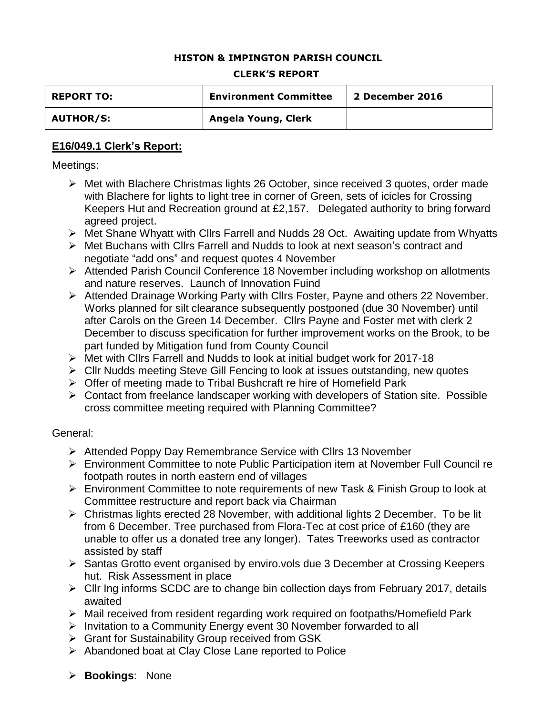### **HISTON & IMPINGTON PARISH COUNCIL**

#### **CLERK'S REPORT**

| <b>REPORT TO:</b> | <b>Environment Committee</b> | 2 December 2016 |
|-------------------|------------------------------|-----------------|
| <b>AUTHOR/S:</b>  | Angela Young, Clerk          |                 |

### **E16/049.1 Clerk's Report:**

Meetings:

- Met with Blachere Christmas lights 26 October, since received 3 quotes, order made with Blachere for lights to light tree in corner of Green, sets of icicles for Crossing Keepers Hut and Recreation ground at £2,157. Delegated authority to bring forward agreed project.
- Met Shane Whyatt with Cllrs Farrell and Nudds 28 Oct. Awaiting update from Whyatts
- Met Buchans with Cllrs Farrell and Nudds to look at next season's contract and negotiate "add ons" and request quotes 4 November
- Attended Parish Council Conference 18 November including workshop on allotments and nature reserves. Launch of Innovation Fuind
- Attended Drainage Working Party with Cllrs Foster, Payne and others 22 November. Works planned for silt clearance subsequently postponed (due 30 November) until after Carols on the Green 14 December. Cllrs Payne and Foster met with clerk 2 December to discuss specification for further improvement works on the Brook, to be part funded by Mitigation fund from County Council
- Met with Cllrs Farrell and Nudds to look at initial budget work for 2017-18
- Cllr Nudds meeting Steve Gill Fencing to look at issues outstanding, new quotes
- ▶ Offer of meeting made to Tribal Bushcraft re hire of Homefield Park
- $\triangleright$  Contact from freelance landscaper working with developers of Station site. Possible cross committee meeting required with Planning Committee?

### General:

- Attended Poppy Day Remembrance Service with Cllrs 13 November
- Environment Committee to note Public Participation item at November Full Council re footpath routes in north eastern end of villages
- Environment Committee to note requirements of new Task & Finish Group to look at Committee restructure and report back via Chairman
- Christmas lights erected 28 November, with additional lights 2 December. To be lit from 6 December. Tree purchased from Flora-Tec at cost price of £160 (they are unable to offer us a donated tree any longer). Tates Treeworks used as contractor assisted by staff
- $\triangleright$  Santas Grotto event organised by enviro.vols due 3 December at Crossing Keepers hut. Risk Assessment in place
- $\triangleright$  Cllr Ing informs SCDC are to change bin collection days from February 2017, details awaited
- Mail received from resident regarding work required on footpaths/Homefield Park
- $\triangleright$  Invitation to a Community Energy event 30 November forwarded to all
- Grant for Sustainability Group received from GSK
- Abandoned boat at Clay Close Lane reported to Police
- **Bookings**: None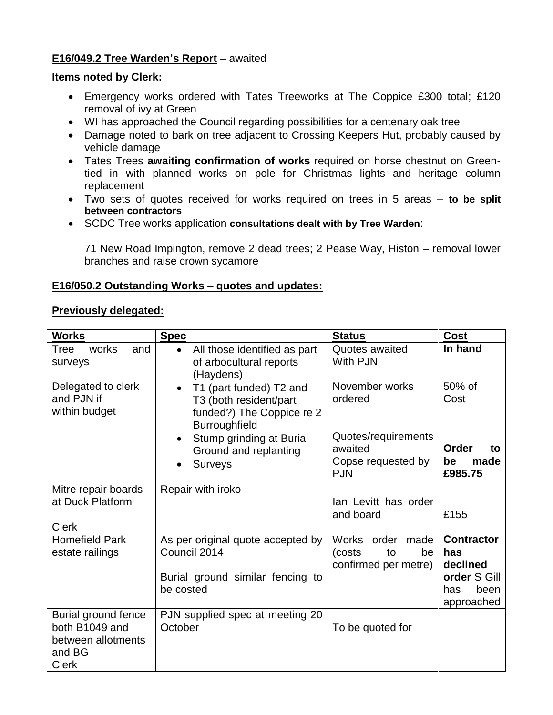# **E16/049.2 Tree Warden's Report** – awaited

## **Items noted by Clerk:**

- Emergency works ordered with Tates Treeworks at The Coppice £300 total; £120 removal of ivy at Green
- WI has approached the Council regarding possibilities for a centenary oak tree
- Damage noted to bark on tree adjacent to Crossing Keepers Hut, probably caused by vehicle damage
- Tates Trees **awaiting confirmation of works** required on horse chestnut on Greentied in with planned works on pole for Christmas lights and heritage column replacement
- Two sets of quotes received for works required on trees in 5 areas **to be split between contractors**
- SCDC Tree works application **consultations dealt with by Tree Warden**:

71 New Road Impington, remove 2 dead trees; 2 Pease Way, Histon – removal lower branches and raise crown sycamore

# **E16/050.2 Outstanding Works – quotes and updates:**

## **Previously delegated:**

| <b>Works</b>                                                                          | <b>Spec</b>                                                                                                  | <b>Status</b>                                                               | <b>Cost</b>                                                                       |
|---------------------------------------------------------------------------------------|--------------------------------------------------------------------------------------------------------------|-----------------------------------------------------------------------------|-----------------------------------------------------------------------------------|
| works<br>Tree<br>and<br>surveys                                                       | All those identified as part<br>$\bullet$<br>of arbocultural reports<br>(Haydens)                            | Quotes awaited<br>With PJN                                                  | In hand                                                                           |
| Delegated to clerk<br>and PJN if<br>within budget                                     | T1 (part funded) T2 and<br>$\bullet$<br>T3 (both resident/part<br>funded?) The Coppice re 2<br>Burroughfield | November works<br>ordered                                                   | 50% of<br>Cost                                                                    |
|                                                                                       | Stump grinding at Burial<br>$\bullet$<br>Ground and replanting<br><b>Surveys</b>                             | Quotes/requirements<br>awaited<br>Copse requested by<br><b>PJN</b>          | Order<br>to<br>made<br>be<br>£985.75                                              |
| Mitre repair boards<br>at Duck Platform<br><b>Clerk</b>                               | Repair with iroko                                                                                            | lan Levitt has order<br>and board                                           | £155                                                                              |
| <b>Homefield Park</b><br>estate railings                                              | As per original quote accepted by<br>Council 2014<br>Burial ground similar fencing to<br>be costed           | <b>Works</b><br>order<br>made<br>(costs<br>to<br>be<br>confirmed per metre) | <b>Contractor</b><br>has<br>declined<br>order S Gill<br>has<br>been<br>approached |
| Burial ground fence<br>both B1049 and<br>between allotments<br>and BG<br><b>Clerk</b> | PJN supplied spec at meeting 20<br>October                                                                   | To be quoted for                                                            |                                                                                   |